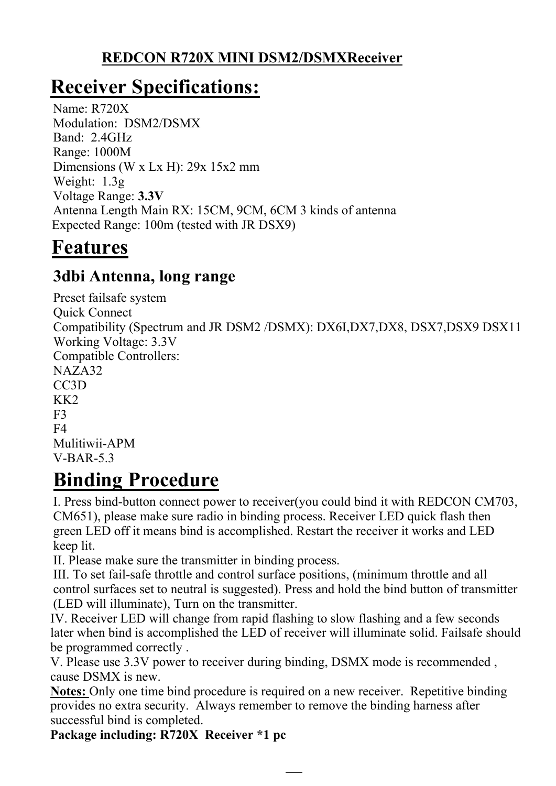#### **REDCON R720X MINI DSM2/DSMXReceiver**

# **Receiver Specifications:**

Name: R720X Modulation: DSM2/DSMX Band: 2.4GHz Range: 1000M Dimensions (W x Lx H): 29x 15x2 mm Weight: 1.3g Voltage Range: **3.3V** Antenna Length Main RX: 15CM, 9CM, 6CM 3 kinds of antenna Expected Range: 100m (tested with JR DSX9)

## **Features**

### **3dbi Antenna, long range**

Preset failsafe system Quick Connect Compatibility (Spectrum and JR DSM2 /DSMX): DX6I,DX7,DX8, DSX7,DSX9 DSX11 Working Voltage: 3.3V Compatible Controllers: NAZA32 CC3D KK2 F3  $F<sub>4</sub>$ Mulitiwii-APM V-BAR-5.3

## **Binding Procedure**

I. Press bind-button connect power to receiver(you could bind it with REDCON CM703, CM651), please make sure radio in binding process. Receiver LED quick flash then green LED off it means bind is accomplished. Restart the receiver it works and LED keep lit.

II. Please make sure the transmitter in binding process.

III. To set fail-safe throttle and control surface positions, (minimum throttle and all control surfaces set to neutral is suggested). Press and hold the bind button of transmitter (LED will illuminate), Turn on the transmitter.

IV. Receiver LED will change from rapid flashing to slow flashing and a few seconds later when bind is accomplished the LED of receiver will illuminate solid. Failsafe should be programmed correctly .

V. Please use 3.3V power to receiver during binding, DSMX mode is recommended , cause DSMX is new.

**Notes:** Only one time bind procedure is required on a new receiver. Repetitive binding provides no extra security. Always remember to remove the binding harness after successful bind is completed.

**Package including: R720X Receiver \*1 pc**